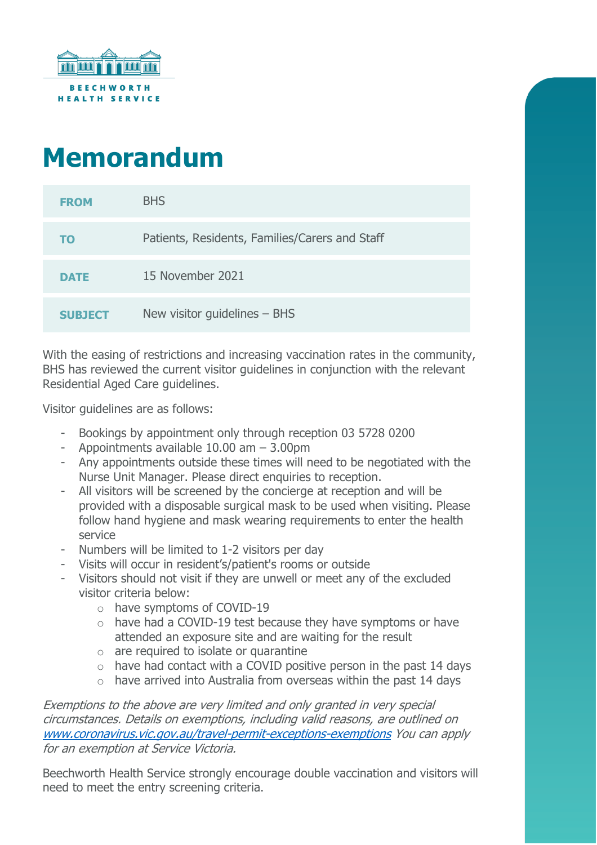

## **Memorandum**

| <b>FROM</b>    | <b>BHS</b>                                     |
|----------------|------------------------------------------------|
| TO             | Patients, Residents, Families/Carers and Staff |
| <b>DATE</b>    | 15 November 2021                               |
| <b>SUBJECT</b> | New visitor guidelines $-$ BHS                 |

With the easing of restrictions and increasing vaccination rates in the community, BHS has reviewed the current visitor guidelines in conjunction with the relevant Residential Aged Care guidelines.

Visitor guidelines are as follows:

- Bookings by appointment only through reception 03 5728 0200
- Appointments available 10.00 am 3.00pm
- Any appointments outside these times will need to be negotiated with the Nurse Unit Manager. Please direct enquiries to reception.
- All visitors will be screened by the concierge at reception and will be provided with a disposable surgical mask to be used when visiting. Please follow hand hygiene and mask wearing requirements to enter the health service
- Numbers will be limited to 1-2 visitors per day
- Visits will occur in resident's/patient's rooms or outside
- Visitors should not visit if they are unwell or meet any of the excluded visitor criteria below:
	- o have symptoms of COVID-19
	- o have had a COVID-19 test because they have symptoms or have attended an exposure site and are waiting for the result
	- $\circ$  are required to isolate or quarantine
	- $\circ$  have had contact with a COVID positive person in the past 14 days
	- $\circ$  have arrived into Australia from overseas within the past 14 days

Exemptions to the above are very limited and only granted in very special circumstances. Details on exemptions, including valid reasons, are outlined on [www.coronavirus.vic.gov.au/travel-permit-exceptions-exemptions](http://www.coronavirus.vic.gov.au/travel-permit-exceptions-exemptions) You can apply for an exemption at Service Victoria.

Beechworth Health Service strongly encourage double vaccination and visitors will need to meet the entry screening criteria.